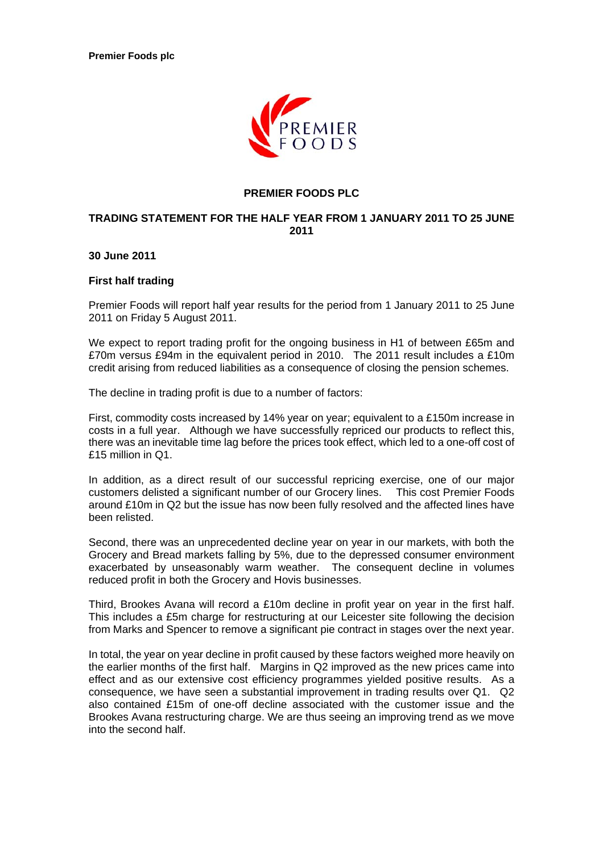

## **PREMIER FOODS PLC**

# **TRADING STATEMENT FOR THE HALF YEAR FROM 1 JANUARY 2011 TO 25 JUNE 2011**

**30 June 2011** 

#### **First half trading**

Premier Foods will report half year results for the period from 1 January 2011 to 25 June 2011 on Friday 5 August 2011.

We expect to report trading profit for the ongoing business in H1 of between £65m and £70m versus £94m in the equivalent period in 2010. The 2011 result includes a £10m credit arising from reduced liabilities as a consequence of closing the pension schemes.

The decline in trading profit is due to a number of factors:

First, commodity costs increased by 14% year on year; equivalent to a £150m increase in costs in a full year. Although we have successfully repriced our products to reflect this, there was an inevitable time lag before the prices took effect, which led to a one-off cost of £15 million in Q1.

In addition, as a direct result of our successful repricing exercise, one of our major customers delisted a significant number of our Grocery lines. This cost Premier Foods around £10m in Q2 but the issue has now been fully resolved and the affected lines have been relisted.

Second, there was an unprecedented decline year on year in our markets, with both the Grocery and Bread markets falling by 5%, due to the depressed consumer environment exacerbated by unseasonably warm weather. The consequent decline in volumes reduced profit in both the Grocery and Hovis businesses.

Third, Brookes Avana will record a £10m decline in profit year on year in the first half. This includes a £5m charge for restructuring at our Leicester site following the decision from Marks and Spencer to remove a significant pie contract in stages over the next year.

In total, the year on year decline in profit caused by these factors weighed more heavily on the earlier months of the first half. Margins in Q2 improved as the new prices came into effect and as our extensive cost efficiency programmes yielded positive results. As a consequence, we have seen a substantial improvement in trading results over Q1. Q2 also contained £15m of one-off decline associated with the customer issue and the Brookes Avana restructuring charge. We are thus seeing an improving trend as we move into the second half.